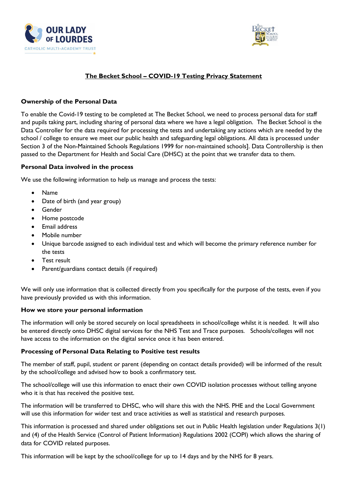



# **The Becket School – COVID-19 Testing Privacy Statement**

# **Ownership of the Personal Data**

To enable the Covid-19 testing to be completed at The Becket School, we need to process personal data for staff and pupils taking part, including sharing of personal data where we have a legal obligation. The Becket School is the Data Controller for the data required for processing the tests and undertaking any actions which are needed by the school / college to ensure we meet our public health and safeguarding legal obligations. All data is processed under Section 3 of the Non-Maintained Schools Regulations 1999 for non-maintained schools]. Data Controllership is then passed to the Department for Health and Social Care (DHSC) at the point that we transfer data to them.

#### **Personal Data involved in the process**

We use the following information to help us manage and process the tests:

- Name
- Date of birth (and year group)
- Gender
- Home postcode
- Email address
- Mobile number
- Unique barcode assigned to each individual test and which will become the primary reference number for the tests
- Test result
- Parent/guardians contact details (if required)

We will only use information that is collected directly from you specifically for the purpose of the tests, even if you have previously provided us with this information.

## **How we store your personal information**

The information will only be stored securely on local spreadsheets in school/college whilst it is needed. It will also be entered directly onto DHSC digital services for the NHS Test and Trace purposes. Schools/colleges will not have access to the information on the digital service once it has been entered.

## **Processing of Personal Data Relating to Positive test results**

The member of staff, pupil, student or parent (depending on contact details provided) will be informed of the result by the school/college and advised how to book a confirmatory test.

The school/college will use this information to enact their own COVID isolation processes without telling anyone who it is that has received the positive test.

The information will be transferred to DHSC, who will share this with the NHS. PHE and the Local Government will use this information for wider test and trace activities as well as statistical and research purposes.

This information is processed and shared under obligations set out in Public Health legislation under Regulations 3(1) and (4) of the Health Service (Control of Patient Information) Regulations 2002 (COPI) which allows the sharing of data for COVID related purposes.

This information will be kept by the school/college for up to 14 days and by the NHS for 8 years.